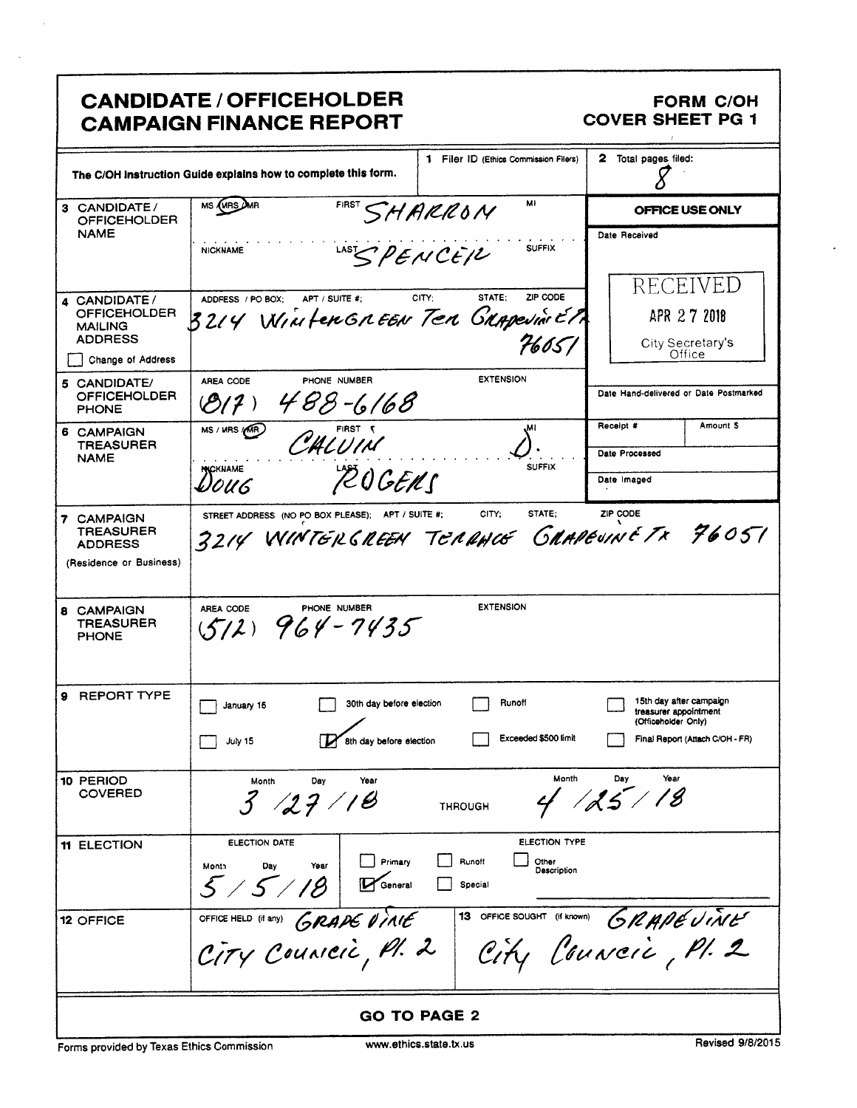# CANDIDATE / OFFICEHOLDER FORM C/OH<br>CAMPAIGN FINANCE REPORT COVER SHEET PG 1 **CAMPAIGN FINANCE REPORT**

| CANDIDATE / OFFICEHOLDER<br>FORM C/OH<br>COVER SHEET PG 1<br>CAMPAIGN FINANCE REPORT<br>1 Filer ID (Ethics Commission Filers) 2 Total pages filed:                                                                                                   |  |  |  |
|------------------------------------------------------------------------------------------------------------------------------------------------------------------------------------------------------------------------------------------------------|--|--|--|
| The C/OH instruction Guide explains how to complete this form.<br>FIRST SHARRON<br>3 CANDIDATE / MS (VAS AMA<br>OFFICEHOLDER NAME<br>OFFICE USE ONLY<br>Date Received                                                                                |  |  |  |
| $1485$ PENCEIL<br><b>NICKNAME</b><br>RECEIVED<br>4 CANDIDATE/<br>OFFICEHOLDER 32/4 WILLIE # CITY; STATE: ZIP CODE<br>MAILING 32/4 WILLIE FEW TEN GUAPPEURS<br>APR 27 2018                                                                            |  |  |  |
| 7605/<br>City Secretary's<br>Change of Address<br><b>EXTENSION</b><br>AREA CODE PHONE NUMBER<br>5 CANDIDATE/<br>OFFICEHOLDER<br>PHONE<br>Date Hand-delivered or Date Postmarked                                                                      |  |  |  |
| Receipt # Amount \$<br>6 CAMPAIGN<br>TREASURER<br>NAME<br>NS/WRS (CALUIN<br>Date Processed<br>$\mathcal{L}$ :<br>والمعاون والمعاون والمعاون والمعاون<br>SUFFIX<br>POGENS<br><b>DOUG</b><br>Date Imaged                                               |  |  |  |
| STREET ADDRESS (NO PO BOX PLEASE); APT / SUITE #; CITY; STATE; ZIP CODE<br>3214 WINTER CREEN TERRANCE CRAPPEUINE TX 76051<br>7 CAMPAIGN<br>TREASURER<br>ADDRESS<br>(Residence or Business)                                                           |  |  |  |
| AREA CODE PHONE NUMBER<br><b>EXTENSION</b><br>8 CAMPAIGN<br>TREASURER<br>PHONE                                                                                                                                                                       |  |  |  |
| 9 REPORT TYPE<br>Runoff<br>15th day after campaign<br>treasurer appointment<br>(Officeholder Only)<br>30th day before election<br>$\Box$ January 15<br>Exceeded \$500 limit<br>Final Report (Attach C/OH - FR)<br>July 15<br>8th day before election |  |  |  |
| 10 PERIOD<br>COVERED<br>Month Day Year<br>1 $13$<br>Month Day Year<br>3/27/18<br><b>THROUGH</b>                                                                                                                                                      |  |  |  |
| THELECTION<br>ELECTION TYPE<br>ELECTION DATE<br>Month Day Year Primary D Runoff Dother Description                                                                                                                                                   |  |  |  |
| 12 OFFICE OFFICE HELD (It any) GRAPE VINTE 13 OFFICE SOUGHT (It known) GRAPE VINTE                                                                                                                                                                   |  |  |  |
| GO TO PAGE 2<br>Revised 9/8/2015<br>Forms provided by Texas Ethics Commission<br>www.ethics.state.tx.us                                                                                                                                              |  |  |  |
|                                                                                                                                                                                                                                                      |  |  |  |
|                                                                                                                                                                                                                                                      |  |  |  |
|                                                                                                                                                                                                                                                      |  |  |  |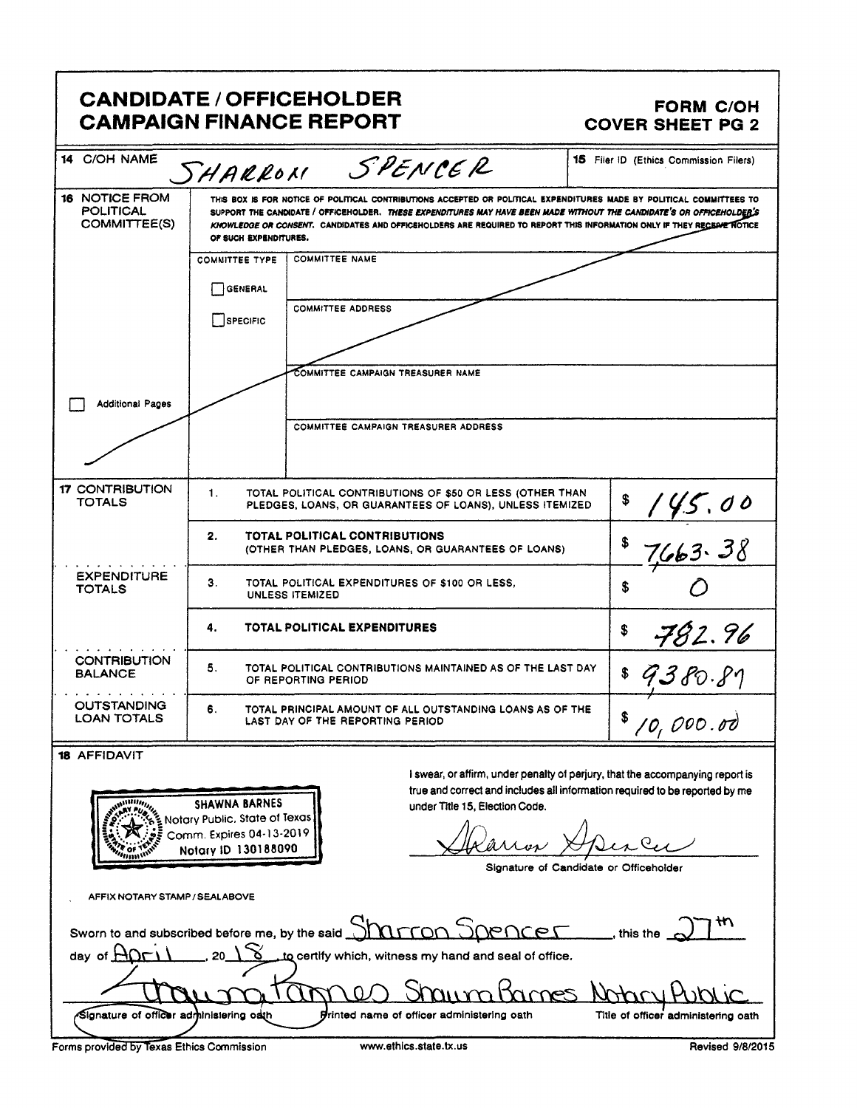# CANDIDATE / OFFICEHOLDER FORM C/OH<br>CAMPAIGN FINANCE REPORT COVER SHEET PG 2 **CAMPAIGN FINANCE REPORT**

| <b>FORM C/OH</b>                                                                                                                                                                                                                                                                                                                               |  |  |  |  |
|------------------------------------------------------------------------------------------------------------------------------------------------------------------------------------------------------------------------------------------------------------------------------------------------------------------------------------------------|--|--|--|--|
| <b>COVER SHEET PG 2</b><br>15 Filer ID (Ethics Commission Filers)                                                                                                                                                                                                                                                                              |  |  |  |  |
| F POLITICAL CONTRIBUTIONS ACCEPTED OR POLITICAL EXPENDITURES MADE BY POLITICAL COMMITTEES T<br>SUPPORT THE CANDIDATE / OFFICEHOLDER. THESE EXPENDITURES MAY HAVE BEEN MADE WITHOUT THE CANDIDATE'S OR OFFICEHOLDED'S<br>KNOWLEDGE OR CONSENT. CANDIDATES AND OFFICEHOLDERS ARE REQUIRED TO REPORT THIS INFORMATION ONLY IF THEY RECENVE NOTICE |  |  |  |  |
|                                                                                                                                                                                                                                                                                                                                                |  |  |  |  |
|                                                                                                                                                                                                                                                                                                                                                |  |  |  |  |
|                                                                                                                                                                                                                                                                                                                                                |  |  |  |  |
| TOTAL POLITICAL CONTRIBUTIONS OF \$50 OR LESS (OTHER THAN<br>PLEDGES, LOANS, OR GUARANTEES OF LOANS), UNLESS ITEMIZED<br>145.00                                                                                                                                                                                                                |  |  |  |  |
| 7663.38                                                                                                                                                                                                                                                                                                                                        |  |  |  |  |
|                                                                                                                                                                                                                                                                                                                                                |  |  |  |  |
| 782.96<br>TOTAL POLITICAL CONTRIBUTIONS MAINTAINED AS OF THE LAST DAY<br>OF REPORTING PERIOD<br>\$7380.81                                                                                                                                                                                                                                      |  |  |  |  |
| ----- <del>/------------</del> -<br>TOTAL PRINCIPAL AMOUNT OF ALL OUTSTANDING LOANS AS OF THE<br>LAST DAY OF THE REPORTING PERIOD<br>18/0,000.00                                                                                                                                                                                               |  |  |  |  |
| I swear, or affirm, under penalty of perjury, that the accompanying report is                                                                                                                                                                                                                                                                  |  |  |  |  |
| true and correct and includes all information required to be reported by me                                                                                                                                                                                                                                                                    |  |  |  |  |
| Alanon Apince<br>Signature of Candidate or Officeholder                                                                                                                                                                                                                                                                                        |  |  |  |  |
| Sworn to and subscribed before me, by the said Sharron Spencer _______, this the ST th                                                                                                                                                                                                                                                         |  |  |  |  |
| day of $\bigoplus_{n=1}^{\infty}$ 20 1 % to certify which, witness my hand and seal of office.                                                                                                                                                                                                                                                 |  |  |  |  |
| Chausatannes Shaumhames Notary Public<br>Title of officer administering oath                                                                                                                                                                                                                                                                   |  |  |  |  |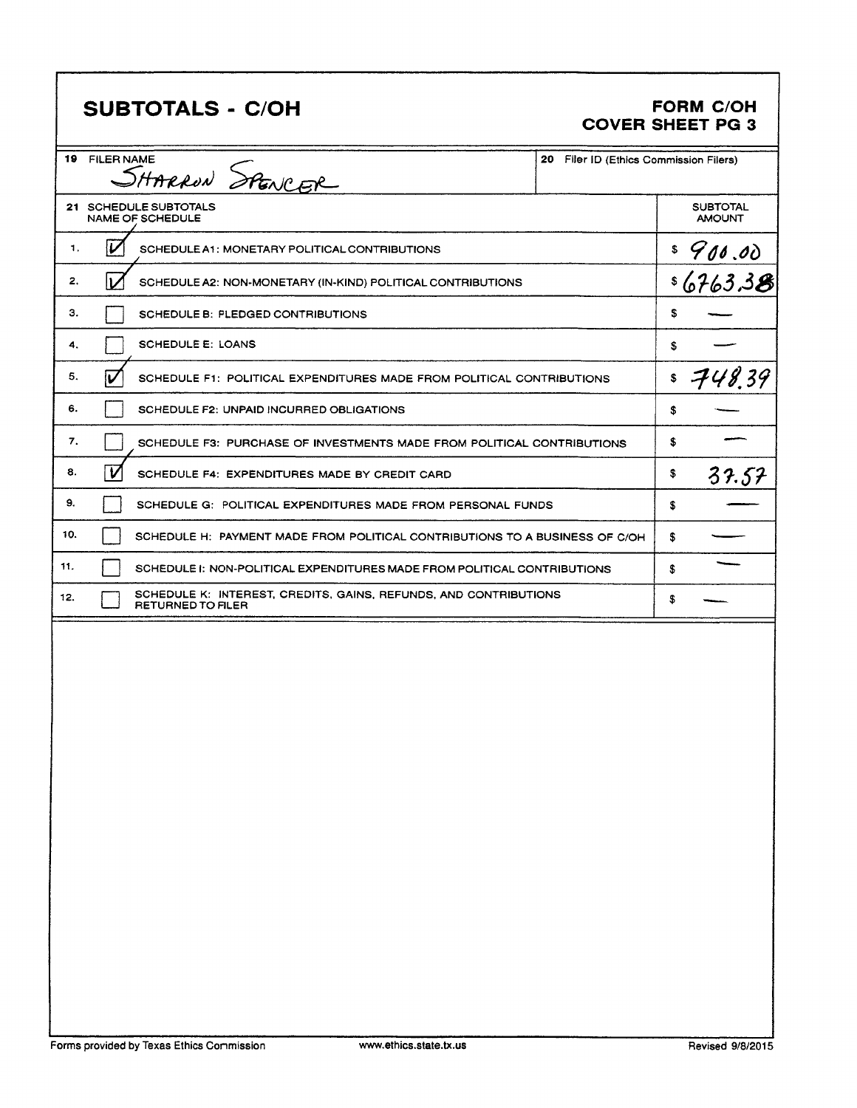# SUBTOTALS - C/OH

#### FORM C/OH **COVER SHEET PG 3**

| 19 FILER NAME<br>SHARRON SPENCER                                                                    | 20 Filer ID (Ethics Commission Filers) |                                  |
|-----------------------------------------------------------------------------------------------------|----------------------------------------|----------------------------------|
| 21 SCHEDULE SUBTOTALS<br><b>NAME OF SCHEDULE</b>                                                    |                                        | <b>SUBTOTAL</b><br><b>AMOUNT</b> |
| V<br>1.<br>SCHEDULE A1: MONETARY POLITICAL CONTRIBUTIONS                                            |                                        |                                  |
| V<br>2.<br>SCHEDULE A2: NON-MONETARY (IN-KIND) POLITICAL CONTRIBUTIONS                              | <u>= 900.00</u><br>= 6763.3 <b>8</b>   |                                  |
| з.<br>SCHEDULE B: PLEDGED CONTRIBUTIONS                                                             |                                        | \$                               |
| <b>SCHEDULE E: LOANS</b><br>4.                                                                      |                                        | \$                               |
| iu<br>5.<br>SCHEDULE F1: POLITICAL EXPENDITURES MADE FROM POLITICAL CONTRIBUTIONS                   |                                        | \$<br>748.39                     |
| 6.<br>SCHEDULE F2: UNPAID INCURRED OBLIGATIONS                                                      |                                        | \$                               |
| 7.<br>SCHEDULE F3: PURCHASE OF INVESTMENTS MADE FROM POLITICAL CONTRIBUTIONS                        |                                        | \$                               |
| $\overline{\mathsf{v}}$<br>8.<br>SCHEDULE F4: EXPENDITURES MADE BY CREDIT CARD                      |                                        | \$<br>37.57                      |
| 9.<br>SCHEDULE G: POLITICAL EXPENDITURES MADE FROM PERSONAL FUNDS                                   |                                        | \$                               |
| 10.<br>SCHEDULE H: PAYMENT MADE FROM POLITICAL CONTRIBUTIONS TO A BUSINESS OF C/OH                  |                                        | \$                               |
| 11.<br>SCHEDULE I: NON-POLITICAL EXPENDITURES MADE FROM POLITICAL CONTRIBUTIONS                     |                                        | \$                               |
| SCHEDULE K: INTEREST, CREDITS, GAINS, REFUNDS, AND CONTRIBUTIONS<br>12.<br><b>RETURNED TO FILER</b> |                                        | \$                               |
|                                                                                                     |                                        |                                  |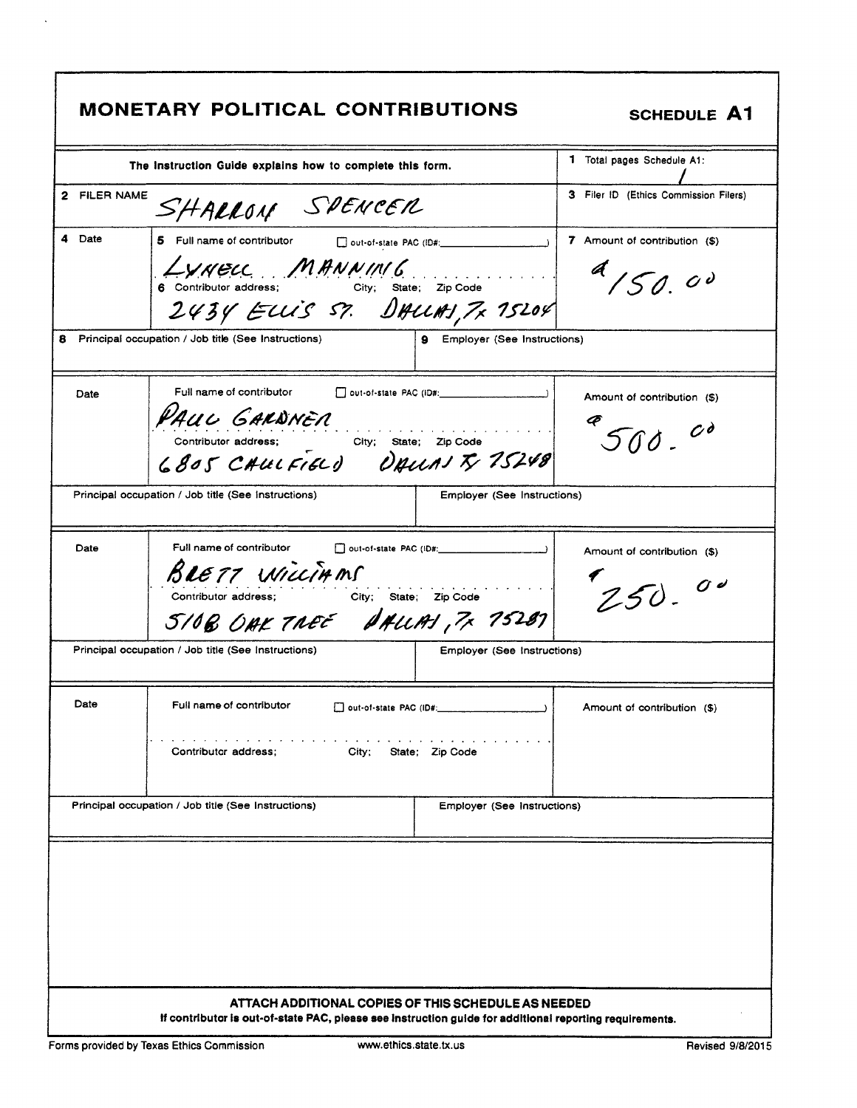SCHEDULE A1

| 2 FILER NAME |                                                                   |                                       |  |
|--------------|-------------------------------------------------------------------|---------------------------------------|--|
|              | The Instruction Guide explains how to complete this form.         | 1 Total pages Schedule A1:            |  |
|              | SHARRON SPENCER                                                   | 3 Filer ID (Ethics Commission Filers) |  |
| Date         | 5 Full name of contributor<br>out-of-state PAC (ID#:              | 7 Amount of contribution (\$)         |  |
|              | LYNELL MANNING<br>City; State; Zip Code<br>6 Contributor address; | 4150.00                               |  |
|              | 2434 ELLIS ST. DALLAJ, 7x 15204                                   |                                       |  |
|              | Principal occupation / Job title (See Instructions)               | <b>9</b> Employer (See Instructions)  |  |
| Date         | Full name of contributor                                          | Amount of contribution (\$)           |  |
|              | PAUL GARDNEN                                                      |                                       |  |
|              | Contributor address; City; State; Zip Code                        | $500-$                                |  |
|              | 6805 CAULFIELD DAUNITY 75248                                      |                                       |  |
|              | Principal occupation / Job title (See Instructions)               | Employer (See Instructions)           |  |
| Date         | Full name of contributor                                          | Amount of contribution (\$)           |  |
|              | BLETT WILLIAMS                                                    |                                       |  |
|              | Contributor address;<br>City; State; Zip Code                     | $250 - 00$                            |  |
|              | SIOB OAK TREE DALLAS, 7x 75287                                    |                                       |  |
|              | Principal occupation / Job title (See Instructions)               | Employer (See Instructions)           |  |
| Date         | Full name of contributor                                          | Amount of contribution (\$)           |  |
|              |                                                                   |                                       |  |
|              | City; State; Zip Code<br>Contributor address;                     |                                       |  |
|              |                                                                   |                                       |  |
|              | Principal occupation / Job title (See Instructions)               | Employer (See Instructions)           |  |
|              |                                                                   |                                       |  |
|              |                                                                   |                                       |  |
|              |                                                                   |                                       |  |
|              |                                                                   |                                       |  |
|              |                                                                   |                                       |  |
|              |                                                                   |                                       |  |
|              |                                                                   |                                       |  |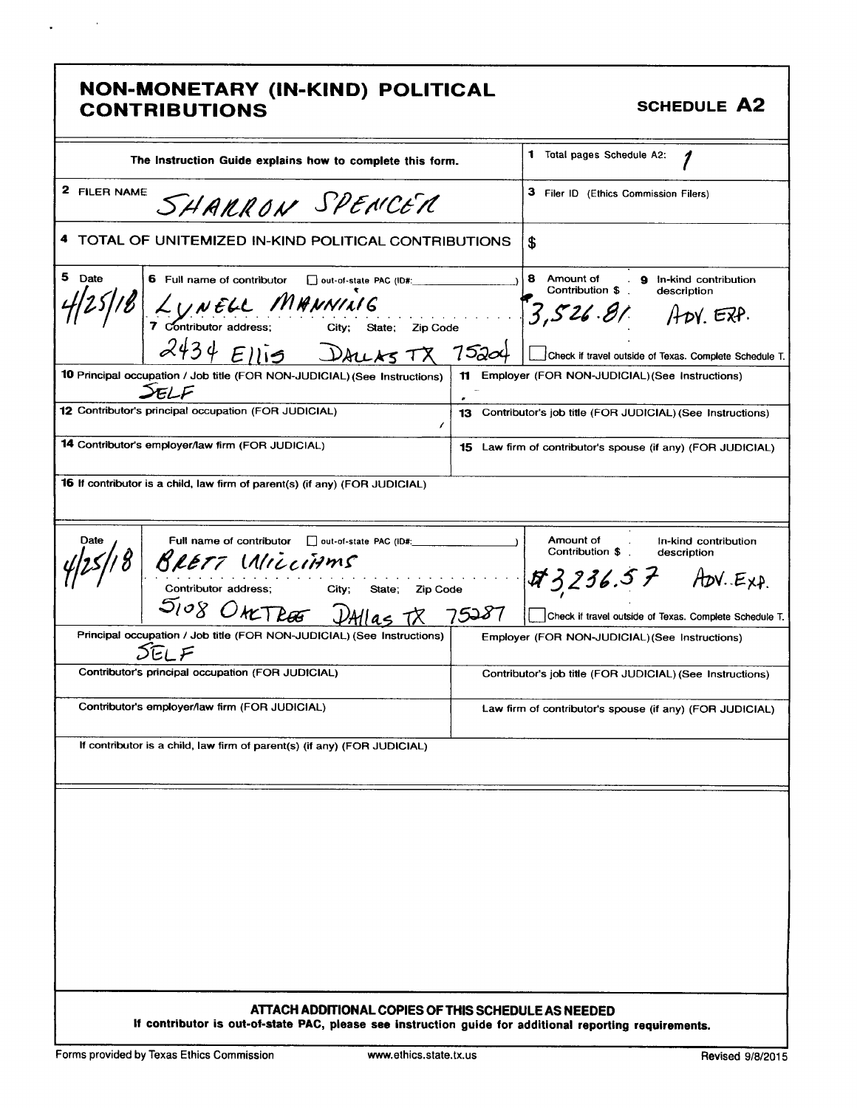# **NON-MONETARY (IN-KIND) POLITICAL<br>CONTRIBUTIONS**

 $\sim 100$ 

 $\bullet$ 

SCHEDULE A2

| The Instruction Guide explains how to complete this form.                                                                                                    | <b>1</b> Total pages Schedule A2:                                                                                                                             |  |  |  |  |  |
|--------------------------------------------------------------------------------------------------------------------------------------------------------------|---------------------------------------------------------------------------------------------------------------------------------------------------------------|--|--|--|--|--|
| 2 FILER NAME<br>SHARRON SPENCER                                                                                                                              | 3 Filer ID (Ethics Commission Filers)                                                                                                                         |  |  |  |  |  |
| 4 TOTAL OF UNITEMIZED IN-KIND POLITICAL CONTRIBUTIONS                                                                                                        | \$                                                                                                                                                            |  |  |  |  |  |
| 5 Date<br>6 Full name of contributor<br>out-of-state PAC (ID#:<br>LUNELL MANNING<br>7 Contributor address; City; State; Zip Code<br>$2434$ Ellis<br>DALLASTX | 8 Amount of 9 In-kind contribution<br>Contribution \$<br>description<br>$3.526.81$ ADY ERP.<br>7520<br>Check if travel outside of Texas. Complete Schedule T. |  |  |  |  |  |
| 10 Principal occupation / Job title (FOR NON-JUDICIAL) (See Instructions)<br>$\mathcal{F}/\mathcal{F}$                                                       | Employer (FOR NON-JUDICIAL) (See Instructions)<br>11<br>٠                                                                                                     |  |  |  |  |  |
| 12 Contributor's principal occupation (FOR JUDICIAL)<br>ı                                                                                                    | 13 Contributor's job title (FOR JUDICIAL) (See Instructions)                                                                                                  |  |  |  |  |  |
| 14 Contributor's employer/law firm (FOR JUDICIAL)                                                                                                            | <b>15</b> Law firm of contributor's spouse (if any) (FOR JUDICIAL)                                                                                            |  |  |  |  |  |
| <b>16</b> If contributor is a child, law firm of parent(s) (if any) (FOR JUDICIAL)                                                                           |                                                                                                                                                               |  |  |  |  |  |
| Full name of contributor   out-of-state PAC (ID#:<br>Date<br>$BLET 7$ $MICCIHMS$<br>Contributor address; City; State; Zip Code<br>5108 ONCTRES               | Amount of<br>In-kind contribution<br>Contribution \$<br>description<br>$43236.57$ ADV EXP.<br>5287<br>Check if travel outside of Texas. Complete Schedule T.  |  |  |  |  |  |
| Principal occupation / Job title (FOR NON-JUDICIAL) (See Instructions)<br>つに F                                                                               | Employer (FOR NON-JUDICIAL) (See Instructions)                                                                                                                |  |  |  |  |  |
| Contributor's principal occupation (FOR JUDICIAL)                                                                                                            | Contributor's job title (FOR JUDICIAL) (See Instructions)                                                                                                     |  |  |  |  |  |
| Contributor's employer/law firm (FOR JUDICIAL)                                                                                                               | Law firm of contributor's spouse (if any) (FOR JUDICIAL)                                                                                                      |  |  |  |  |  |
| If contributor is a child, law firm of parent(s) (if any) (FOR JUDICIAL)                                                                                     |                                                                                                                                                               |  |  |  |  |  |
| ATTACH ADDITIONAL COPIES OF THIS SCHEDULE AS NEEDED                                                                                                          |                                                                                                                                                               |  |  |  |  |  |
| If contributor is out-of-state PAC, please see instruction guide for additional reporting requirements.                                                      |                                                                                                                                                               |  |  |  |  |  |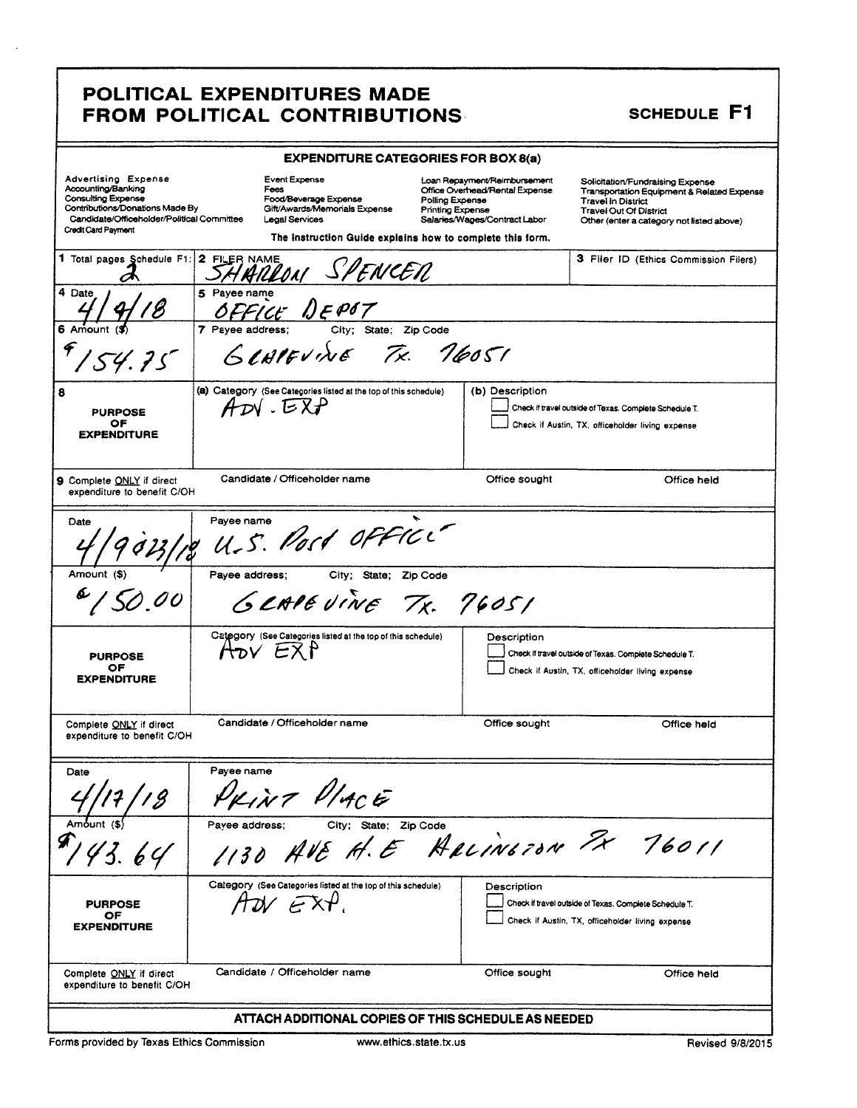### POLITICAL EXPENDITURES MADE FROM POLITICAL CONTRIBUTIONS SCHEDULE F1

|                                                                                                                                                                                | <b>EXPENDITURE CATEGORIES FOR BOX 8(a)</b>     |                                                                                                                     |                                                                                                                                               |               |                                                                                                                                                                                    |  |  |
|--------------------------------------------------------------------------------------------------------------------------------------------------------------------------------|------------------------------------------------|---------------------------------------------------------------------------------------------------------------------|-----------------------------------------------------------------------------------------------------------------------------------------------|---------------|------------------------------------------------------------------------------------------------------------------------------------------------------------------------------------|--|--|
| Advertising Expense<br>Accounting/Banking<br><b>Consulting Expense</b><br>Contributions/Donations Made By<br>Candidate/Officeholder/Political Committee<br>Credit Card Payment | <b>Event Expense</b><br>Fees<br>Legal Services | Food/Beverage Expense<br>Gift/Awards/Memorials Expense<br>The instruction Guide explains how to complete this form. | Loan Repayment/Reimbursement<br>Office Overhead/Rental Expense<br>Polling Expense<br><b>Printing Expense</b><br>Salaries/Wages/Contract Labor |               | Solicitation/Fundraising Expense<br>Transportation Equipment & Related Expense<br>Travel In District<br><b>Travel Out Of District</b><br>Other (enter a category not listed above) |  |  |
| 1 Total pages Schedule F1: 2 FILER NAME                                                                                                                                        | 4 AILLONI                                      | SPENCEN                                                                                                             |                                                                                                                                               |               | 3 Filer ID (Ethics Commission Filers)                                                                                                                                              |  |  |
| 4 Date                                                                                                                                                                         | 5 Payee name                                   | FICE DEPOT                                                                                                          |                                                                                                                                               |               |                                                                                                                                                                                    |  |  |
| 54.75                                                                                                                                                                          | 7 Payee address:<br>GLAPEVINE                  | State;<br>City;                                                                                                     | Zip Code<br>Tx. 76051                                                                                                                         |               |                                                                                                                                                                                    |  |  |
| 8<br><b>PURPOSE</b><br>ОF<br><b>EXPENDITURE</b>                                                                                                                                | $ADV$ . $EXP$                                  | (a) Category (See Categories listed at the top of this schedule)                                                    | (b) Description                                                                                                                               |               | Check if travel outside of Texas. Complete Schedule T.<br>Check if Austin, TX, officeholder living expense                                                                         |  |  |
| 9 Complete ONLY if direct<br>expenditure to benefit C/OH                                                                                                                       | Candidate / Officeholder name                  |                                                                                                                     |                                                                                                                                               | Office sought | Office held                                                                                                                                                                        |  |  |
| Payee name<br>Date<br>U.S. Post office                                                                                                                                         |                                                |                                                                                                                     |                                                                                                                                               |               |                                                                                                                                                                                    |  |  |
| Amount (\$)                                                                                                                                                                    | Payee address;                                 | City; State; Zip Code<br>GEAPEVINE TX. 76051                                                                        |                                                                                                                                               |               |                                                                                                                                                                                    |  |  |
| <b>PURPOSE</b><br>OF<br><b>EXPENDITURE</b>                                                                                                                                     | $A_{\text{TV}}$ $EXP$                          | Category (See Categories listed at the top of this schedule)                                                        |                                                                                                                                               | Description   | Check if travel outside of Texas. Complete Schedule T.<br>Check if Austin, TX, officeholder living expense                                                                         |  |  |
| Complete ONLY if direct<br>expenditure to benefit C/OH                                                                                                                         | Candidate / Officeholder name                  |                                                                                                                     |                                                                                                                                               | Office sought | Office held                                                                                                                                                                        |  |  |
| Date<br>18                                                                                                                                                                     | Payee name                                     | KINT PLACE                                                                                                          |                                                                                                                                               |               |                                                                                                                                                                                    |  |  |
| 43.64                                                                                                                                                                          | Pavee address;<br>1130                         | City; State; Zip Code<br>AVE H.E HALINGTON FX                                                                       |                                                                                                                                               |               | 76011                                                                                                                                                                              |  |  |
| <b>PURPOSE</b><br>OF<br><b>EXPENDITURE</b>                                                                                                                                     | AW EXP.                                        | Calegory (See Categories listed at the top of this schedule)                                                        |                                                                                                                                               | Description   | Check if travel outside of Texas. Complete Schedule T.<br>Check if Austin, TX, officeholder living expense                                                                         |  |  |
| Complete ONLY if direct<br>expenditure to benefit C/OH                                                                                                                         | Candidate / Officeholder name                  |                                                                                                                     |                                                                                                                                               | Office sought | Office held                                                                                                                                                                        |  |  |
|                                                                                                                                                                                |                                                | ATTACH ADDITIONAL COPIES OF THIS SCHEDULE AS NEEDED                                                                 |                                                                                                                                               |               |                                                                                                                                                                                    |  |  |

Forms provided by Texas Ethics Commission www.ethics.state.tx.us Revised 9/8/2015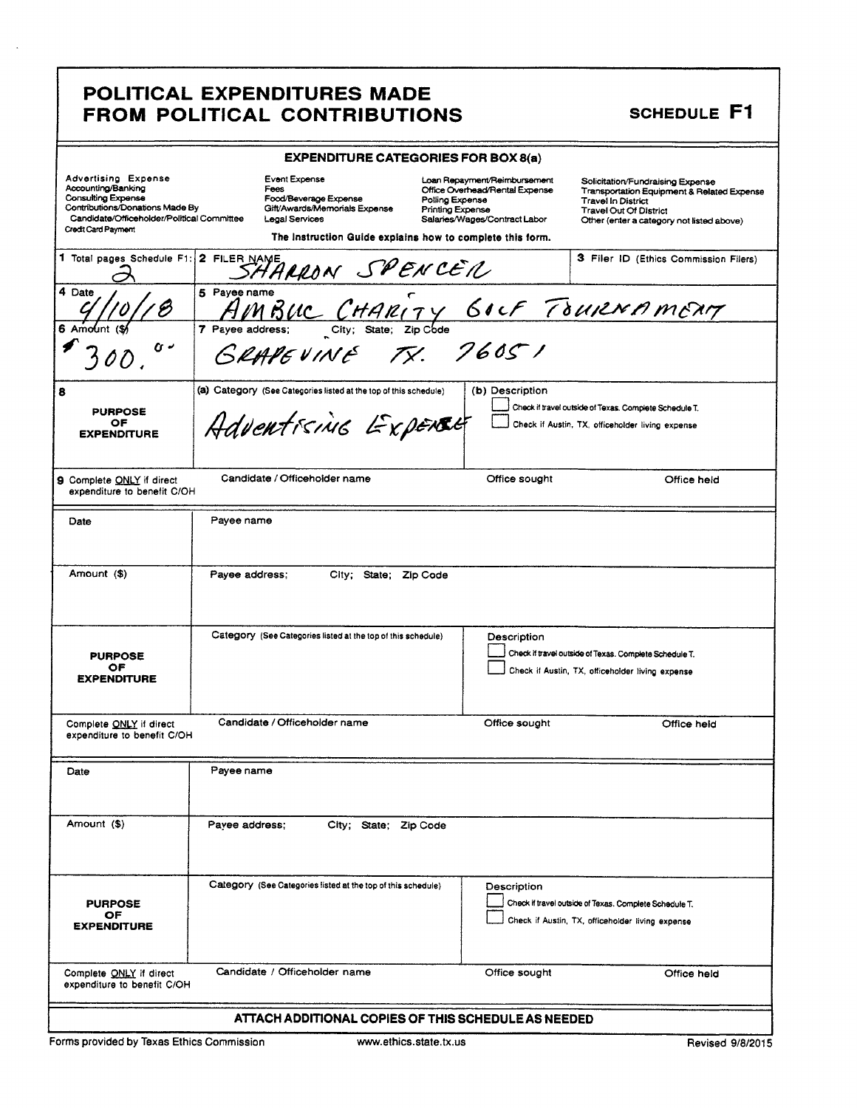### POLITICAL EXPENDITURES MADE FROM POLITICAL CONTRIBUTIONS SCHEDULE F1

| POLITICAL EXPENDITURES MADE<br>FROM POLITICAL CONTRIBUTIONS                                                                                                                                                                                                                                                                                                                                                                                          | <b>SCHEDULE F1</b>                                                                                                                                                                                                                   |  |  |  |  |
|------------------------------------------------------------------------------------------------------------------------------------------------------------------------------------------------------------------------------------------------------------------------------------------------------------------------------------------------------------------------------------------------------------------------------------------------------|--------------------------------------------------------------------------------------------------------------------------------------------------------------------------------------------------------------------------------------|--|--|--|--|
| <b>EXPENDITURE CATEGORIES FOR BOX 8(a)</b><br>Advertising Expense<br>Accounting/Banking<br>Consulting Expense<br>Consulting Expense<br>Contributions/Donations Made By<br>Candidate/Officeholder/Political Committee<br>Candidate/Officeholder/Political Committee<br>Legal Services                                                                                                                                                                 | Loan Repayment/Reimbursement Solicitation/Fundraising Expense<br>Office Overhead/Rental Expense Transportation Equipment & Related Expense<br>Polling Expense Travel In District<br>Salaries/Wages/Contract Labor Other (enter a cat |  |  |  |  |
| , ees<br>Food/Beverage Expense<br>Gift/Awards/Memorials Expense<br>Credit Card Payment<br>The Instruction Guide explains how to complete this form.                                                                                                                                                                                                                                                                                                  |                                                                                                                                                                                                                                      |  |  |  |  |
|                                                                                                                                                                                                                                                                                                                                                                                                                                                      |                                                                                                                                                                                                                                      |  |  |  |  |
|                                                                                                                                                                                                                                                                                                                                                                                                                                                      | 3 Filer ID (Ethics Commission Filers)                                                                                                                                                                                                |  |  |  |  |
|                                                                                                                                                                                                                                                                                                                                                                                                                                                      |                                                                                                                                                                                                                                      |  |  |  |  |
| (a) Category (See Categories listed at the top of this schedule) (b) Description<br>Check if travel outside of Texas. Complete Schedule T.<br>Advent FS/AIG EXPERCE Check if Austin, TX, officeholder living expense<br><b>PURPOSE<br/>OF<br/>EXPENDITURE</b>                                                                                                                                                                                        |                                                                                                                                                                                                                                      |  |  |  |  |
| Office sought<br>Payee name<br>Date                                                                                                                                                                                                                                                                                                                                                                                                                  | _________________<br>Office held                                                                                                                                                                                                     |  |  |  |  |
| Total pages Schedule F1: 2 FILER NAME<br>4 Date<br>4 Date<br>4 Date<br>4 Date<br>4 Date<br>4 Date<br>4 Date<br>4 Date<br>4 Date<br>4 Date<br>4 Date<br>4 Date<br>4 Date<br>4 Date<br>4 Date<br>4 Date<br>4 Date<br>4 Date<br>4 Date<br>4 Date<br>7 Payee address: City;<br>9 Complete ONLY if direct Candidate / Officeholder name<br>expenditure to benefit C/OH<br>$\overline{A_{\text{mount}}(\text{I})}$<br>Payee address; City; State; Zip Code |                                                                                                                                                                                                                                      |  |  |  |  |
| Category (See Categories listed at the top of this schedule) Description                                                                                                                                                                                                                                                                                                                                                                             | Check if travel outside of Texas. Complete Schedule T.                                                                                                                                                                               |  |  |  |  |
| PURPOSE<br>OF<br>EXPENDITURE<br>Complete <u>ONLY</u> if direct<br>expenditure to benefit C/OH<br>Office sought                                                                                                                                                                                                                                                                                                                                       | Check if Austin, TX, officeholder living expense<br>Office held                                                                                                                                                                      |  |  |  |  |
| I<br>Date<br>Payee name                                                                                                                                                                                                                                                                                                                                                                                                                              |                                                                                                                                                                                                                                      |  |  |  |  |
| Amount (\$)<br>Payee address; City; State; Zip Code                                                                                                                                                                                                                                                                                                                                                                                                  |                                                                                                                                                                                                                                      |  |  |  |  |
| Category (See Categories listed at the top of this schedule)<br>Description<br>PURPOSE<br>OF<br>EXPENDITURE                                                                                                                                                                                                                                                                                                                                          | Check if travel outside of Texas. Complete Schedule T.<br>Check if Austin, TX, officeholder living expense                                                                                                                           |  |  |  |  |